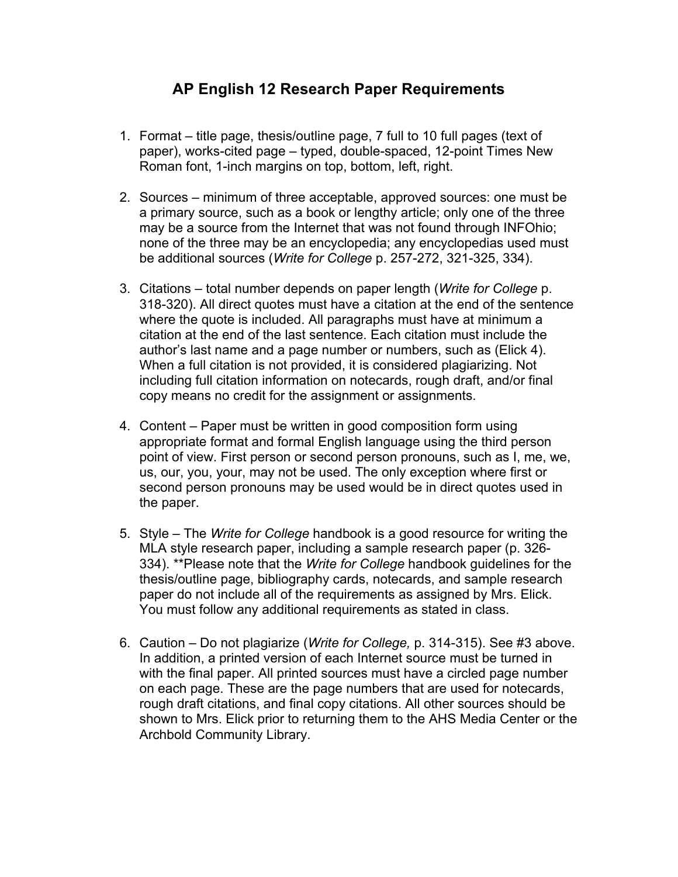## **AP English 12 Research Paper Requirements**

- 1. Format title page, thesis/outline page, 7 full to 10 full pages (text of paper), works-cited page – typed, double-spaced, 12-point Times New Roman font, 1-inch margins on top, bottom, left, right.
- 2. Sources minimum of three acceptable, approved sources: one must be a primary source, such as a book or lengthy article; only one of the three may be a source from the Internet that was not found through INFOhio; none of the three may be an encyclopedia; any encyclopedias used must be additional sources (*Write for College* p. 257-272, 321-325, 334).
- 3. Citations total number depends on paper length (*Write for College* p. 318-320). All direct quotes must have a citation at the end of the sentence where the quote is included. All paragraphs must have at minimum a citation at the end of the last sentence. Each citation must include the author's last name and a page number or numbers, such as (Elick 4). When a full citation is not provided, it is considered plagiarizing. Not including full citation information on notecards, rough draft, and/or final copy means no credit for the assignment or assignments.
- 4. Content Paper must be written in good composition form using appropriate format and formal English language using the third person point of view. First person or second person pronouns, such as I, me, we, us, our, you, your, may not be used. The only exception where first or second person pronouns may be used would be in direct quotes used in the paper.
- 5. Style The *Write for College* handbook is a good resource for writing the MLA style research paper, including a sample research paper (p. 326- 334). \*\*Please note that the *Write for College* handbook guidelines for the thesis/outline page, bibliography cards, notecards, and sample research paper do not include all of the requirements as assigned by Mrs. Elick. You must follow any additional requirements as stated in class.
- 6. Caution Do not plagiarize (*Write for College,* p. 314-315). See #3 above. In addition, a printed version of each Internet source must be turned in with the final paper. All printed sources must have a circled page number on each page. These are the page numbers that are used for notecards, rough draft citations, and final copy citations. All other sources should be shown to Mrs. Elick prior to returning them to the AHS Media Center or the Archbold Community Library.